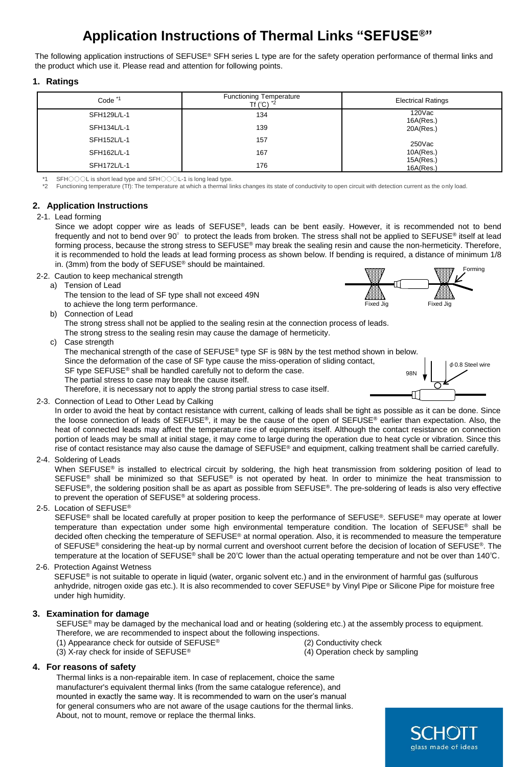# **Application Instructions of Thermal Links "SEFUSE®"**

The following application instructions of SEFUSE® SFH series L type are for the safety operation performance of thermal links and the product which use it. Please read and attention for following points.

### **1. Ratings**

| Code <sup>*1</sup> | <b>Functioning Temperature</b><br>Tf $(^{\circ}C)$ $^{\star}2$ | <b>Electrical Ratings</b> |
|--------------------|----------------------------------------------------------------|---------------------------|
| SFH129L/L-1        | 134                                                            | 120Vac<br>16A(Res.)       |
| SFH134L/L-1        | 139                                                            | 20A(Res.)                 |
| SFH152L/L-1        | 157                                                            | $250$ Vac                 |
| SFH162L/L-1        | 167                                                            | 10A(Res.)                 |
| SFH172L/L-1        | 176                                                            | 15A(Res.)<br>16A(Res.)    |

\*1 SFH○○○L is short lead type and SFH○○○L-1 is long lead type.

Functioning temperature (Tf): The temperature at which a thermal links changes its state of conductivity to open circuit with detection current as the only load.

## **2. Application Instructions**

### 2-1. Lead forming

Since we adopt copper wire as leads of SEFUSE®, leads can be bent easily. However, it is recommended not to bend frequently and not to bend over 90° to protect the leads from broken. The stress shall not be applied to SEFUSE® itself at lead forming process, because the strong stress to SEFUSE® may break the sealing resin and cause the non-hermeticity. Therefore, it is recommended to hold the leads at lead forming process as shown below. If bending is required, a distance of minimum 1/8 in. (3mm) from the body of SEFUSE® should be maintained.

- 2-2. Caution to keep mechanical strength
	- a) Tension of Lead

The tension to the lead of SF type shall not exceed 49N to achieve the long term performance.

b) Connection of Lead

The strong stress shall not be applied to the sealing resin at the connection process of leads.

- The strong stress to the sealing resin may cause the damage of hermeticity.
- c) Case strength

The mechanical strength of the case of SEFUSE® type SF is 98N by the test method shown in below. Since the deformation of the case of SF type cause the miss-operation of sliding contact, SF type SEFUSE® shall be handled carefully not to deform the case. The partial stress to case may break the cause itself. 98N

Therefore, it is necessary not to apply the strong partial stress to case itself.

2-3. Connection of Lead to Other Lead by Calking

In order to avoid the heat by contact resistance with current, calking of leads shall be tight as possible as it can be done. Since the loose connection of leads of SEFUSE®, it may be the cause of the open of SEFUSE® earlier than expectation. Also, the heat of connected leads may affect the temperature rise of equipments itself. Although the contact resistance on connection portion of leads may be small at initial stage, it may come to large during the operation due to heat cycle or vibration. Since this rise of contact resistance may also cause the damage of SEFUSE® and equipment, calking treatment shall be carried carefully.

2-4. Soldering of Leads

When SEFUSE® is installed to electrical circuit by soldering, the high heat transmission from soldering position of lead to SEFUSE<sup>®</sup> shall be minimized so that SEFUSE<sup>®</sup> is not operated by heat. In order to minimize the heat transmission to SEFUSE®, the soldering position shall be as apart as possible from SEFUSE®. The pre-soldering of leads is also very effective to prevent the operation of SEFUSE® at soldering process.

2-5. Location of SEFUSE®

SEFUSE<sup>®</sup> shall be located carefully at proper position to keep the performance of SEFUSE®. SEFUSE® may operate at lower temperature than expectation under some high environmental temperature condition. The location of SEFUSE® shall be decided often checking the temperature of SEFUSE® at normal operation. Also, it is recommended to measure the temperature of SEFUSE® considering the heat-up by normal current and overshoot current before the decision of location of SEFUSE®. The temperature at the location of SEFUSE® shall be 20℃ lower than the actual operating temperature and not be over than 140℃.

### 2-6. Protection Against Wetness

SEFUSE<sup>®</sup> is not suitable to operate in liquid (water, organic solvent etc.) and in the environment of harmful gas (sulfurous anhydride, nitrogen oxide gas etc.). It is also recommended to cover SEFUSE® by Vinyl Pipe or Silicone Pipe for moisture free under high humidity.

### **3. Examination for damage**

SEFUSE<sup>®</sup> may be damaged by the mechanical load and or heating (soldering etc.) at the assembly process to equipment. Therefore, we are recommended to inspect about the following inspections.

- (1) Appearance check for outside of SEFUSE® (2) Conductivity check
- (3) X-ray check for inside of SEFUSE® (4) Operation check by sampling

### **4. For reasons of safety**

Thermal links is a non-repairable item. In case of replacement, choice the same manufacturer's equivalent thermal links (from the same catalogue reference), and mounted in exactly the same way. It is recommended to warn on the user's manual for general consumers who are not aware of the usage cautions for the thermal links. About, not to mount, remove or replace the thermal links.





φ0.8 Steel wire